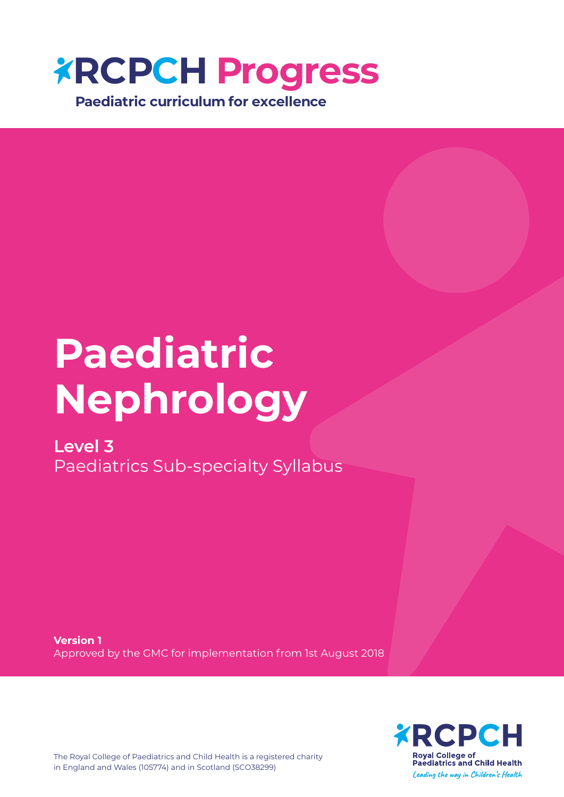

# **Paediatric Nephrology**

### **Level 3**

Paediatrics Sub-specialty Syllabus

**Version 1** Approved by the GMC for implementation from 1st August 2018



The Royal College of Paediatrics and Child Health is a registered charity in England and Wales (105774) and in Scotland (SCO38299)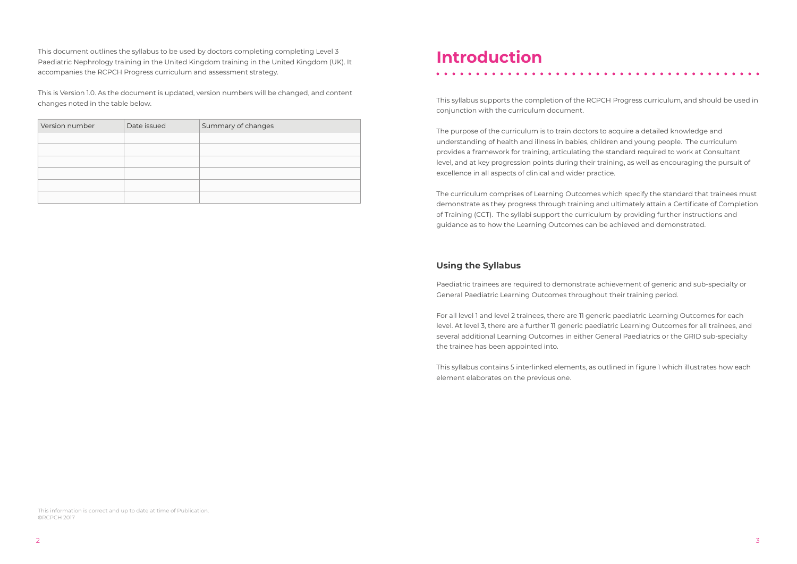### **Introduction**

This syllabus supports the completion of the RCPCH Progress curriculum, and should be used in conjunction with the curriculum document.

The purpose of the curriculum is to train doctors to acquire a detailed knowledge and understanding of health and illness in babies, children and young people. The curriculum provides a framework for training, articulating the standard required to work at Consultant level, and at key progression points during their training, as well as encouraging the pursuit of excellence in all aspects of clinical and wider practice.

The curriculum comprises of Learning Outcomes which specify the standard that trainees must demonstrate as they progress through training and ultimately attain a Certificate of Completion of Training (CCT). The syllabi support the curriculum by providing further instructions and guidance as to how the Learning Outcomes can be achieved and demonstrated.

#### **Using the Syllabus**

Paediatric trainees are required to demonstrate achievement of generic and sub-specialty or General Paediatric Learning Outcomes throughout their training period.

For all level 1 and level 2 trainees, there are 11 generic paediatric Learning Outcomes for each level. At level 3, there are a further 11 generic paediatric Learning Outcomes for all trainees, and several additional Learning Outcomes in either General Paediatrics or the GRID sub-specialty the trainee has been appointed into.

This syllabus contains 5 interlinked elements, as outlined in figure 1 which illustrates how each element elaborates on the previous one.

This document outlines the syllabus to be used by doctors completing completing Level 3 Paediatric Nephrology training in the United Kingdom training in the United Kingdom (UK). It accompanies the RCPCH Progress curriculum and assessment strategy.

This is Version 1.0. As the document is updated, version numbers will be changed, and content changes noted in the table below.

| Version number | Date issued | Summary of changes |
|----------------|-------------|--------------------|
|                |             |                    |
|                |             |                    |
|                |             |                    |
|                |             |                    |
|                |             |                    |
|                |             |                    |

This information is correct and up to date at time of Publication. **©**RCPCH 2017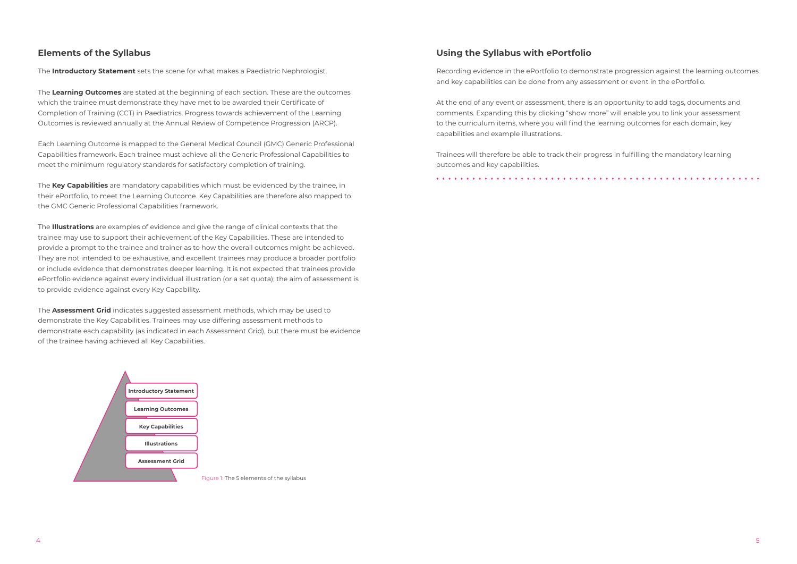#### **Elements of the Syllabus**

The **Introductory Statement** sets the scene for what makes a Paediatric Nephrologist.

The **Learning Outcomes** are stated at the beginning of each section. These are the outcomes which the trainee must demonstrate they have met to be awarded their Certificate of Completion of Training (CCT) in Paediatrics. Progress towards achievement of the Learning Outcomes is reviewed annually at the Annual Review of Competence Progression (ARCP).

Each Learning Outcome is mapped to the General Medical Council (GMC) Generic Professional Capabilities framework. Each trainee must achieve all the Generic Professional Capabilities to meet the minimum regulatory standards for satisfactory completion of training.

The **Key Capabilities** are mandatory capabilities which must be evidenced by the trainee, in their ePortfolio, to meet the Learning Outcome. Key Capabilities are therefore also mapped to the GMC Generic Professional Capabilities framework.

The **Illustrations** are examples of evidence and give the range of clinical contexts that the trainee may use to support their achievement of the Key Capabilities. These are intended to provide a prompt to the trainee and trainer as to how the overall outcomes might be achieved. They are not intended to be exhaustive, and excellent trainees may produce a broader portfolio or include evidence that demonstrates deeper learning. It is not expected that trainees provide ePortfolio evidence against every individual illustration (or a set quota); the aim of assessment is to provide evidence against every Key Capability.

The **Assessment Grid** indicates suggested assessment methods, which may be used to demonstrate the Key Capabilities. Trainees may use differing assessment methods to demonstrate each capability (as indicated in each Assessment Grid), but there must be evidence of the trainee having achieved all Key Capabilities.

#### **Using the Syllabus with ePortfolio**

Recording evidence in the ePortfolio to demonstrate progression against the learning outcomes and key capabilities can be done from any assessment or event in the ePortfolio.

At the end of any event or assessment, there is an opportunity to add tags, documents and comments. Expanding this by clicking "show more" will enable you to link your assessment to the curriculum items, where you will find the learning outcomes for each domain, key capabilities and example illustrations.

Trainees will therefore be able to track their progress in fulfilling the mandatory learning outcomes and key capabilities.

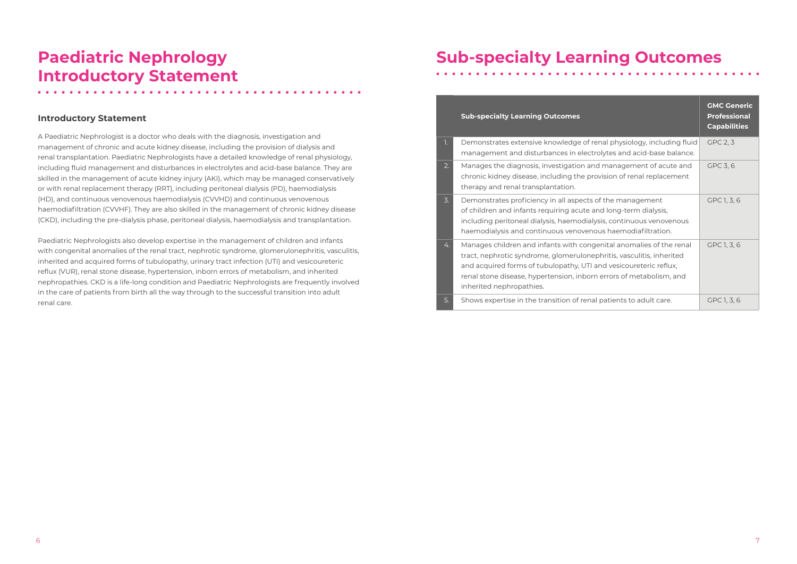### **Paediatric Nephrology Introductory Statement**

#### **Introductory Statement**

A Paediatric Nephrologist is a doctor who deals with the diagnosis, investigation and management of chronic and acute kidney disease, including the provision of dialysis and renal transplantation. Paediatric Nephrologists have a detailed knowledge of renal physiology, including fluid management and disturbances in electrolytes and acid-base balance. They are skilled in the management of acute kidney injury (AKI), which may be managed conservatively or with renal replacement therapy (RRT), including peritoneal dialysis (PD), haemodialysis (HD), and continuous venovenous haemodialysis (CVVHD) and continuous venovenous haemodiafiltration (CVVHF). They are also skilled in the management of chronic kidney disease (CKD), including the pre-dialysis phase, peritoneal dialysis, haemodialysis and transplantation.

Paediatric Nephrologists also develop expertise in the management of children and infants with congenital anomalies of the renal tract, nephrotic syndrome, glomerulonephritis, vasculitis, inherited and acquired forms of tubulopathy, urinary tract infection (UTI) and vesicoureteric reflux (VUR), renal stone disease, hypertension, inborn errors of metabolism, and inherited nephropathies. CKD is a life-long condition and Paediatric Nephrologists are frequently involved in the care of patients from birth all the way through to the successful transition into adult renal care.

## **Sub-specialty Learning Outcomes**

|                  | <b>Sub-specialty Learning Outcomes</b>                                                                                                                                                                                                                                                                              | <b>GMC Generic</b><br><b>Professional</b><br><b>Capabilities</b> |
|------------------|---------------------------------------------------------------------------------------------------------------------------------------------------------------------------------------------------------------------------------------------------------------------------------------------------------------------|------------------------------------------------------------------|
| $\overline{1}$ . | Demonstrates extensive knowledge of renal physiology, including fluid<br>management and disturbances in electrolytes and acid-base balance.                                                                                                                                                                         | GPC 2, 3                                                         |
| 2.               | Manages the diagnosis, investigation and management of acute and<br>chronic kidney disease, including the provision of renal replacement<br>therapy and renal transplantation.                                                                                                                                      | GPC 3, 6                                                         |
| $\overline{3}$ . | Demonstrates proficiency in all aspects of the management<br>of children and infants requiring acute and long-term dialysis,<br>including peritoneal dialysis, haemodialysis, continuous venovenous<br>haemodialysis and continuous venovenous haemodiafiltration.                                                  | GPC 1, 3, 6                                                      |
| 4.               | Manages children and infants with congenital anomalies of the renal<br>tract, nephrotic syndrome, glomerulonephritis, vasculitis, inherited<br>and acquired forms of tubulopathy, UTI and vesicoureteric reflux,<br>renal stone disease, hypertension, inborn errors of metabolism, and<br>inherited nephropathies. | GPC 1, 3, 6                                                      |
| 5.               | Shows expertise in the transition of renal patients to adult care.                                                                                                                                                                                                                                                  | GPC 1, 3, 6                                                      |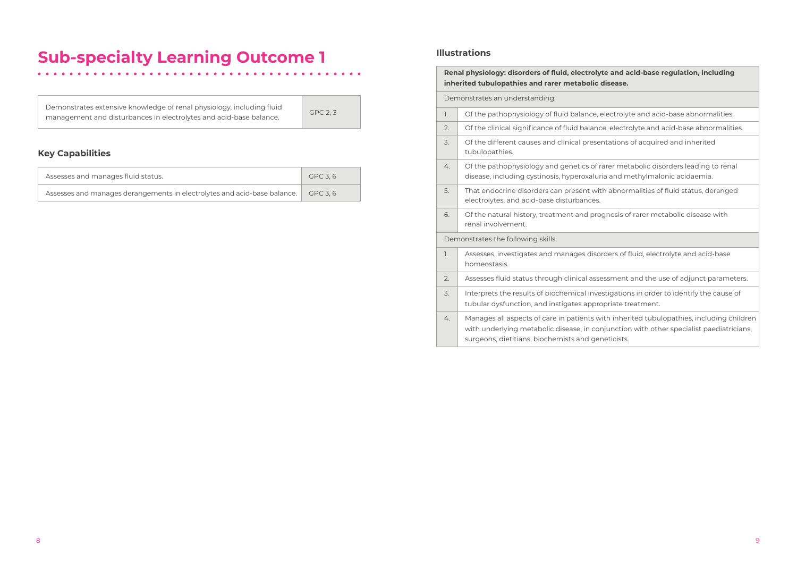| Demonstrates extensive knowledge of renal physiology, including fluid | GPC 2, 3 |
|-----------------------------------------------------------------------|----------|
| management and disturbances in electrolytes and acid-base balance.    |          |

#### **Renal physiology: disorders of fluid, electrolyte and acid-base regulation, including**  disease.

electrolyte and acid-base abnormalities.

ce, electrolyte and acid-base abnormalities.

entations of acquired and inherited

rarer metabolic disorders leading to renal ria and methylmalonic acidaemia.

th abnormalities of fluid status, deranged

ognosis of rarer metabolic disease with

orders of fluid, electrolyte and acid-base

essment and the use of adjunct parameters.

estigations in order to identify the cause of opriate treatment.

vith inherited tubulopathies, including children mjunction with other specialist paediatricians, neticists.

#### **Key Capabilities**

| Assesses and manages fluid status.                                       | GPC 3.6 |
|--------------------------------------------------------------------------|---------|
| Assesses and manages derangements in electrolytes and acid-base balance. | GPC 3.6 |

#### **Illustrations**

 $\bullet\quad\bullet\quad\bullet$ 

|                                    | Renal physiology: disorders of fluid, electroly<br>inherited tubulopathies and rarer metabolic |                                                                                                                                     |  |  |
|------------------------------------|------------------------------------------------------------------------------------------------|-------------------------------------------------------------------------------------------------------------------------------------|--|--|
|                                    | Demonstrates an understanding:                                                                 |                                                                                                                                     |  |  |
|                                    | 1.                                                                                             | Of the pathophysiology of fluid balance,                                                                                            |  |  |
|                                    | 2.                                                                                             | Of the clinical significance of fluid baland                                                                                        |  |  |
|                                    | 3.                                                                                             | Of the different causes and clinical prese<br>tubulopathies.                                                                        |  |  |
|                                    | 4.                                                                                             | Of the pathophysiology and genetics of r<br>disease, including cystinosis, hyperoxalur                                              |  |  |
|                                    | 5.                                                                                             | That endocrine disorders can present wit<br>electrolytes, and acid-base disturbances.                                               |  |  |
|                                    | 6.                                                                                             | Of the natural history, treatment and pro<br>renal involvement.                                                                     |  |  |
| Demonstrates the following skills: |                                                                                                |                                                                                                                                     |  |  |
|                                    | 1.                                                                                             | Assesses, investigates and manages diso<br>homeostasis.                                                                             |  |  |
|                                    | 2.                                                                                             | Assesses fluid status through clinical asse                                                                                         |  |  |
|                                    | 3.                                                                                             | Interprets the results of biochemical inve<br>tubular dysfunction, and instigates appro                                             |  |  |
|                                    | 4.                                                                                             | Manages all aspects of care in patients w<br>with underlying metabolic disease, in cor<br>surgeons, dietitians, biochemists and ger |  |  |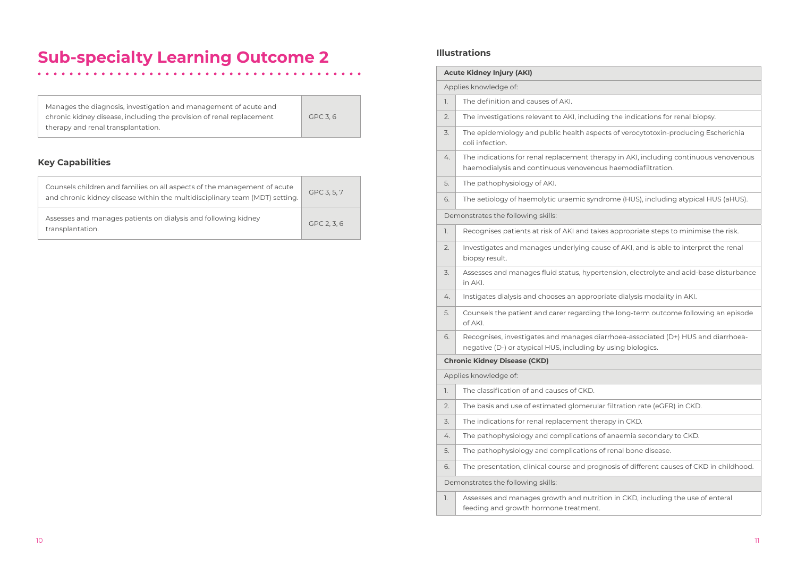ing the indications for renal biopsy.

ects of verocytotoxin-producing Escherichia

erapy in AKI, including continuous venovenous us haemodiafiltration.

drome (HUS), including atypical HUS (aHUS).

kes appropriate steps to minimise the risk.

use of AKI, and is able to interpret the renal

rtension, electrolyte and acid-base disturbance

oriate dialysis modality in AKI.

the long-term outcome following an episode

iarrhoea-associated (D+) HUS and diarrhoeaby using biologics.

ar filtration rate (eGFR) in CKD.

erapy in CKD.

of anaemia secondary to CKD.

of renal bone disease.

gnosis of different causes of CKD in childhood.

tion in CKD, including the use of enteral

### **Sub-specialty Learning Outcome 2**

Manages the diagnosis, investigation and management of acute and chronic kidney disease, including the provision of renal replacement therapy and renal transplantation.

GPC 3, 6

#### **Key Capabilities**

|    | <b>Acute Kidney Injury (AKI)</b>                                                      |  |  |
|----|---------------------------------------------------------------------------------------|--|--|
|    | Applies knowledge of:                                                                 |  |  |
| 1. | The definition and causes of AKI.                                                     |  |  |
| 2. | The investigations relevant to AKI, includi                                           |  |  |
| 3. | The epidemiology and public health aspe<br>coli infection.                            |  |  |
| 4. | The indications for renal replacement the<br>haemodialysis and continuous venoveno    |  |  |
| 5. | The pathophysiology of AKI.                                                           |  |  |
| 6. | The aetiology of haemolytic uraemic syno                                              |  |  |
|    | Demonstrates the following skills:                                                    |  |  |
| 1. | Recognises patients at risk of AKI and tak                                            |  |  |
| 2. | Investigates and manages underlying car<br>biopsy result.                             |  |  |
| 3. | Assesses and manages fluid status, hyper<br>in AKI.                                   |  |  |
| 4. | Instigates dialysis and chooses an approp                                             |  |  |
| 5. | Counsels the patient and carer regarding<br>of AKI.                                   |  |  |
| 6. | Recognises, investigates and manages di<br>negative (D-) or atypical HUS, including b |  |  |
|    | <b>Chronic Kidney Disease (CKD)</b>                                                   |  |  |
|    | Applies knowledge of:                                                                 |  |  |
| 1. | The classification of and causes of CKD.                                              |  |  |
| 2. | The basis and use of estimated glomerula                                              |  |  |
| 3. | The indications for renal replacement the                                             |  |  |
| 4. | The pathophysiology and complications                                                 |  |  |
| 5. | The pathophysiology and complications                                                 |  |  |
| 6. | The presentation, clinical course and prog                                            |  |  |
|    | Demonstrates the following skills:                                                    |  |  |
| 1. | Assesses and manages growth and nutrit<br>feeding and growth hormone treatment.       |  |  |

| Counsels children and families on all aspects of the management of acute<br>and chronic kidney disease within the multidisciplinary team (MDT) setting. | GPC 3, 5, 7 |
|---------------------------------------------------------------------------------------------------------------------------------------------------------|-------------|
| Assesses and manages patients on dialysis and following kidney<br>transplantation.                                                                      | GPC 2, 3, 6 |

#### **Illustrations**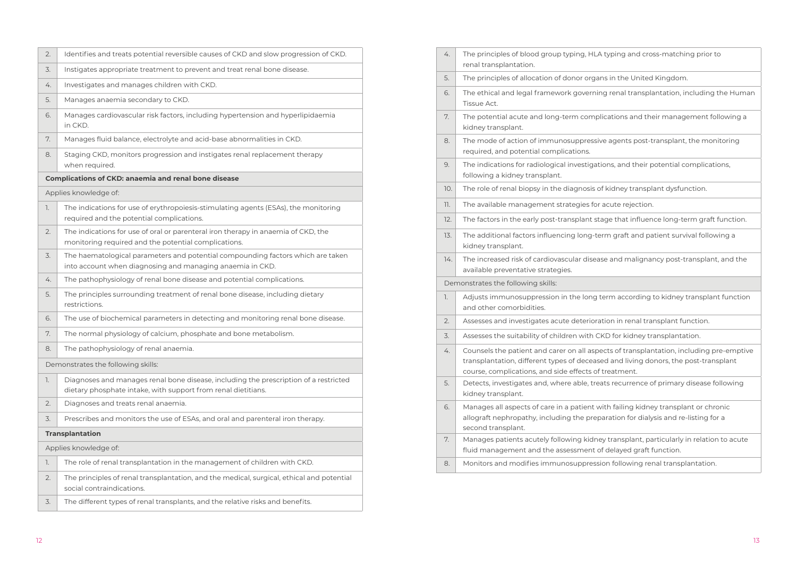| 2.                    | Identifies and treats potential reversible causes of CKD and slow progression of CKD.                                                                 |  |  |
|-----------------------|-------------------------------------------------------------------------------------------------------------------------------------------------------|--|--|
| 3.                    | Instigates appropriate treatment to prevent and treat renal bone disease.                                                                             |  |  |
| 4.                    | Investigates and manages children with CKD.                                                                                                           |  |  |
| 5.                    | Manages anaemia secondary to CKD.                                                                                                                     |  |  |
| 6.                    | Manages cardiovascular risk factors, including hypertension and hyperlipidaemia<br>in CKD.                                                            |  |  |
| 7.                    | Manages fluid balance, electrolyte and acid-base abnormalities in CKD.                                                                                |  |  |
| 8.                    | Staging CKD, monitors progression and instigates renal replacement therapy<br>when required.                                                          |  |  |
|                       | <b>Complications of CKD: anaemia and renal bone disease</b>                                                                                           |  |  |
|                       | Applies knowledge of:                                                                                                                                 |  |  |
| 1.                    | The indications for use of erythropoiesis-stimulating agents (ESAs), the monitoring<br>required and the potential complications.                      |  |  |
| 2.                    | The indications for use of oral or parenteral iron therapy in anaemia of CKD, the<br>monitoring required and the potential complications.             |  |  |
| 3.                    | The haematological parameters and potential compounding factors which are taken<br>into account when diagnosing and managing anaemia in CKD.          |  |  |
| 4.                    | The pathophysiology of renal bone disease and potential complications.                                                                                |  |  |
| 5.                    | The principles surrounding treatment of renal bone disease, including dietary<br>restrictions.                                                        |  |  |
| 6.                    | The use of biochemical parameters in detecting and monitoring renal bone disease.                                                                     |  |  |
| 7.                    | The normal physiology of calcium, phosphate and bone metabolism.                                                                                      |  |  |
| 8.                    | The pathophysiology of renal anaemia.                                                                                                                 |  |  |
|                       | Demonstrates the following skills:                                                                                                                    |  |  |
| 1.                    | Diagnoses and manages renal bone disease, including the prescription of a restricted<br>dietary phosphate intake, with support from renal dietitians. |  |  |
| 2.                    | Diagnoses and treats renal anaemia.                                                                                                                   |  |  |
| 3.                    | Prescribes and monitors the use of ESAs, and oral and parenteral iron therapy.                                                                        |  |  |
|                       | <b>Transplantation</b>                                                                                                                                |  |  |
| Applies knowledge of: |                                                                                                                                                       |  |  |
| 1.                    | The role of renal transplantation in the management of children with CKD.                                                                             |  |  |
| 2.                    | The principles of renal transplantation, and the medical, surgical, ethical and potential<br>social contraindications.                                |  |  |
| 3.                    | The different types of renal transplants, and the relative risks and benefits.                                                                        |  |  |

| 4.  | The principles of blood group typing, HLA<br>renal transplantation.                                                                     |
|-----|-----------------------------------------------------------------------------------------------------------------------------------------|
| 5.  | The principles of allocation of donor orgar                                                                                             |
| 6.  | The ethical and legal framework governir<br>Tissue Act.                                                                                 |
| 7.  | The potential acute and long-term compl<br>kidney transplant.                                                                           |
| 8.  | The mode of action of immunosuppressiv<br>required, and potential complications.                                                        |
| 9.  | The indications for radiological investigati<br>following a kidney transplant.                                                          |
| 10. | The role of renal biopsy in the diagnosis o                                                                                             |
| 11. | The available management strategies for                                                                                                 |
| 12. | The factors in the early post-transplant sta                                                                                            |
| 13. | The additional factors influencing long-te<br>kidney transplant.                                                                        |
| 14. | The increased risk of cardiovascular diseas<br>available preventative strategies.                                                       |
|     | Demonstrates the following skills:                                                                                                      |
| 1.  | Adjusts immunosuppression in the long t<br>and other comorbidities.                                                                     |
| 2.  | Assesses and investigates acute deteriora                                                                                               |
| 3.  | Assesses the suitability of children with CI                                                                                            |
| 4.  | Counsels the patient and carer on all aspe<br>transplantation, different types of decease<br>course, complications, and side effects of |
| 5.  | Detects, investigates and, where able, trea<br>kidney transplant.                                                                       |
| 6.  | Manages all aspects of care in a patient w<br>allograft nephropathy, including the prep<br>second transplant.                           |
| 7.  | Manages patients acutely following kidne<br>fluid management and the assessment o                                                       |
|     |                                                                                                                                         |
| 8.  | Monitors and modifies immunosuppressi                                                                                                   |

- 4. typing and cross-matching prior to
- Ins in the United Kingdom.
- ng renal transplantation, including the Human
- Ilications and their management following a
- ve agents post-transplant, the monitoring
- ions, and their potential complications,
- of kidney transplant dysfunction.
- r acute rejection.
- tage that influence long-term graft function.
- erm graft and patient survival following a
- 14. Italy and malignancy post-transplant, and the
- term according to kidney transplant function
- ation in renal transplant function.
- **CKD** for kidney transplantation.
- ects of transplantation, including pre-emptive ted and living donors, the post-transplant f treatment.
- ats recurrence of primary disease following
- with failing kidney transplant or chronic baration for dialysis and re-listing for a
- ey transplant, particularly in relation to acute of delayed graft function.
- $s$  ion following renal transplantation.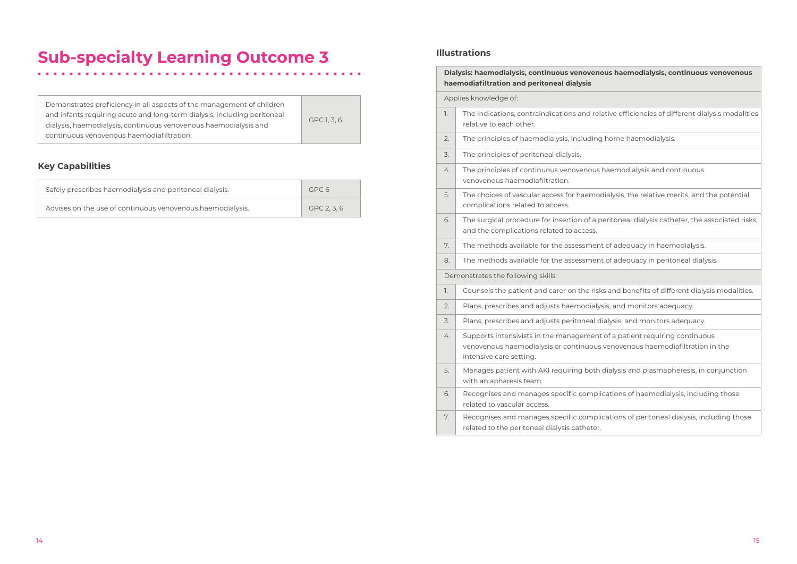Demonstrates proficiency in all aspects of the management of children and infants requiring acute and long-term dialysis, including peritoneal dialysis, haemodialysis, continuous venovenous haemodialysis and continuous venovenous haemodiafiltration.

#### GPC 1, 3, 6

#### **Key Capabilities**

| Safely prescribes haemodialysis and peritoneal dialysis.   | GPC 6     |
|------------------------------------------------------------|-----------|
| Advises on the use of continuous venovenous haemodialysis. | GPC 2.3.6 |

#### **Illustrations**

**Dialysis: haemodialysis, continuous venovenous haemodialysis, continuous venovenous** 

lative efficiencies of different dialysis modalities

g home haemodialysis.

haemodialysis and continuous

odialysis, the relative merits, and the potential

peritoneal dialysis catheter, the associated risks,

nt of adequacy in haemodialysis.

It of adequacy in peritoneal dialysis.

ks and benefits of different dialysis modalities.

 $y$ sis, and monitors adequacy.

dialysis, and monitors adequacy.

t of a patient requiring continuous venovenous haemodiafiltration in the

dialysis and plasmapheresis, in conjunction

ications of haemodialysis, including those

ications of peritoneal dialysis, including those

|  |    | Dialysis: haemodialysis, continuous venoven<br>haemodiafiltration and peritoneal dialysis                    |
|--|----|--------------------------------------------------------------------------------------------------------------|
|  |    | Applies knowledge of:                                                                                        |
|  | 1. | The indications, contraindications and rel<br>relative to each other.                                        |
|  | 2. | The principles of haemodialysis, including                                                                   |
|  | 3. | The principles of peritoneal dialysis.                                                                       |
|  | 4. | The principles of continuous venovenous<br>venovenous haemodiafiltration.                                    |
|  | 5. | The choices of vascular access for haemo<br>complications related to access.                                 |
|  | 6. | The surgical procedure for insertion of a p<br>and the complications related to access.                      |
|  | 7. | The methods available for the assessmen                                                                      |
|  | 8. | The methods available for the assessmen                                                                      |
|  |    | Demonstrates the following skills:                                                                           |
|  | 1. | Counsels the patient and carer on the risk                                                                   |
|  | 2. | Plans, prescribes and adjusts haemodialy                                                                     |
|  | 3. | Plans, prescribes and adjusts peritoneal d                                                                   |
|  | 4. | Supports intensivists in the management<br>venovenous haemodialysis or continuous<br>intensive care setting. |
|  | 5. | Manages patient with AKI requiring both<br>with an apharesis team.                                           |
|  | 6. | Recognises and manages specific compli<br>related to vascular access.                                        |
|  | 7. | Recognises and manages specific compli<br>related to the peritoneal dialysis catheter.                       |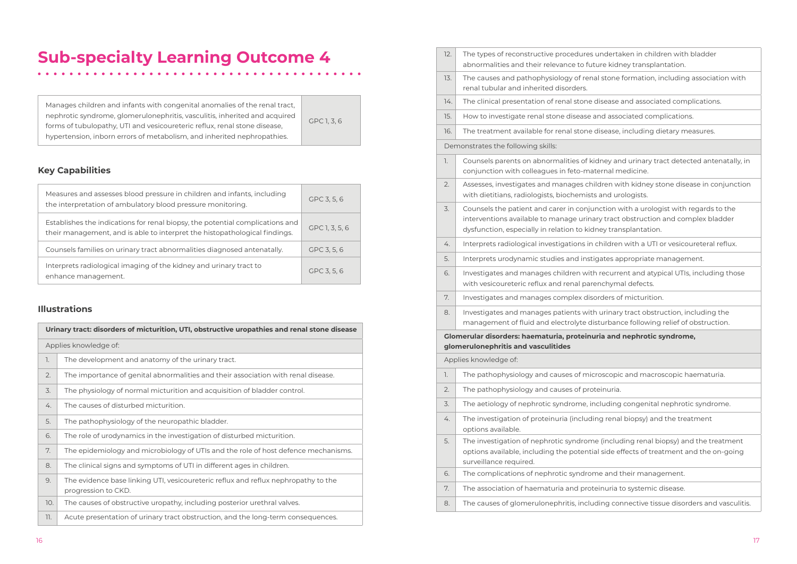- Indertaken in children with bladder ire kidney transplantation.
- stone formation, including association with
- isease and associated complications.
- nd associated complications.
- isease, including dietary measures.
- Iney and urinary tract detected antenatally, in ernal medicine.
- dren with kidney stone disease in conjunction and urologists.
- nction with a urologist with regards to the interventions and complex bladder ey transplantation.
- hildren with a UTI or vesicoureteral reflux.
- ates appropriate management.
- recurrent and atypical UTIs, including those nchymal defects.
- rders of micturition.
- urinary tract obstruction, including the turbance following relief of obstruction.
- **Figure 3** and nephrotic syndrome,
- oscopic and macroscopic haematuria.
- einuria.
- cluding congenital nephrotic syndrome.
- g renal biopsy) and the treatment
- (including renal biopsy) and the treatment side effects of treatment and the on-going
- e and their management.
- inuria to systemic disease.
- ing connective tissue disorders and vasculitis.

Manages children and infants with congenital anomalies of the renal tract, nephrotic syndrome, glomerulonephritis, vasculitis, inherited and acquired forms of tubulopathy, UTI and vesicoureteric reflux, renal stone disease, hypertension, inborn errors of metabolism, and inherited nephropathies.

### GPC 1, 3, 6

#### **Key Capabilities**

| Measures and assesses blood pressure in children and infants, including<br>the interpretation of ambulatory blood pressure monitoring.                      | GPC 3, 5, 6    |
|-------------------------------------------------------------------------------------------------------------------------------------------------------------|----------------|
| Establishes the indications for renal biopsy, the potential complications and<br>their management, and is able to interpret the histopathological findings. | GPC 1, 3, 5, 6 |
| Counsels families on urinary tract abnormalities diagnosed antenatally.                                                                                     | GPC 3, 5, 6    |
| Interprets radiological imaging of the kidney and urinary tract to<br>enhance management.                                                                   | GPC 3, 5, 6    |

#### **Illustrations**

| Urinary tract: disorders of micturition, UTI, obstructive uropathies and renal stone disease |                                                                                                           |  |  |  |  |
|----------------------------------------------------------------------------------------------|-----------------------------------------------------------------------------------------------------------|--|--|--|--|
| Applies knowledge of:                                                                        |                                                                                                           |  |  |  |  |
| 1.                                                                                           | The development and anatomy of the urinary tract.                                                         |  |  |  |  |
| 2.                                                                                           | The importance of genital abnormalities and their association with renal disease.                         |  |  |  |  |
| 3.                                                                                           | The physiology of normal micturition and acquisition of bladder control.                                  |  |  |  |  |
| 4.                                                                                           | The causes of disturbed micturition.                                                                      |  |  |  |  |
| 5.                                                                                           | The pathophysiology of the neuropathic bladder.                                                           |  |  |  |  |
| 6.                                                                                           | The role of urodynamics in the investigation of disturbed micturition.                                    |  |  |  |  |
| 7.                                                                                           | The epidemiology and microbiology of UTIs and the role of host defence mechanisms.                        |  |  |  |  |
| 8.                                                                                           | The clinical signs and symptoms of UTI in different ages in children.                                     |  |  |  |  |
| 9.                                                                                           | The evidence base linking UTI, vesicoureteric reflux and reflux nephropathy to the<br>progression to CKD. |  |  |  |  |
| 10.                                                                                          | The causes of obstructive uropathy, including posterior urethral valves.                                  |  |  |  |  |
| 11.                                                                                          | Acute presentation of urinary tract obstruction, and the long-term consequences.                          |  |  |  |  |

|                                    | 12. | The types of reconstructive procedures u<br>abnormalities and their relevance to futu                                                |  |  |  |  |  |  |
|------------------------------------|-----|--------------------------------------------------------------------------------------------------------------------------------------|--|--|--|--|--|--|
|                                    | 13. | The causes and pathophysiology of renal<br>renal tubular and inherited disorders.                                                    |  |  |  |  |  |  |
|                                    | 14. | The clinical presentation of renal stone di                                                                                          |  |  |  |  |  |  |
|                                    | 15. | How to investigate renal stone disease ar                                                                                            |  |  |  |  |  |  |
|                                    | 16. | The treatment available for renal stone di                                                                                           |  |  |  |  |  |  |
| Demonstrates the following skills: |     |                                                                                                                                      |  |  |  |  |  |  |
|                                    | 1.  | Counsels parents on abnormalities of kid<br>conjunction with colleagues in feto-mate                                                 |  |  |  |  |  |  |
|                                    | 2.  | Assesses, investigates and manages child<br>with dietitians, radiologists, biochemists a                                             |  |  |  |  |  |  |
|                                    | 3.  | Counsels the patient and carer in conjun<br>interventions available to manage urinary<br>dysfunction, especially in relation to kidn |  |  |  |  |  |  |
|                                    | 4.  | Interprets radiological investigations in cl                                                                                         |  |  |  |  |  |  |
|                                    | 5.  | Interprets urodynamic studies and instig                                                                                             |  |  |  |  |  |  |
|                                    | 6.  | Investigates and manages children with<br>with vesicoureteric reflux and renal parer                                                 |  |  |  |  |  |  |
|                                    | 7.  | Investigates and manages complex disor                                                                                               |  |  |  |  |  |  |
|                                    | 8.  | Investigates and manages patients with<br>management of fluid and electrolyte dist                                                   |  |  |  |  |  |  |
|                                    |     | Glomerular disorders: haematuria, proteinuri<br>glomerulonephritis and vasculitides                                                  |  |  |  |  |  |  |
|                                    |     | Applies knowledge of:                                                                                                                |  |  |  |  |  |  |
|                                    | 1.  | The pathophysiology and causes of micro                                                                                              |  |  |  |  |  |  |
|                                    | 2.  | The pathophysiology and causes of prote                                                                                              |  |  |  |  |  |  |
|                                    | 3.  | The aetiology of nephrotic syndrome, inc                                                                                             |  |  |  |  |  |  |
|                                    | 4.  | The investigation of proteinuria (including<br>options available.                                                                    |  |  |  |  |  |  |
|                                    | 5.  | The investigation of nephrotic syndrome<br>options available, including the potential<br>surveillance required.                      |  |  |  |  |  |  |
|                                    | 6.  | The complications of nephrotic syndrom                                                                                               |  |  |  |  |  |  |
|                                    | 7.  | The association of haematuria and protei                                                                                             |  |  |  |  |  |  |
|                                    | 8.  | The causes of glomerulonephritis, includi                                                                                            |  |  |  |  |  |  |
|                                    |     |                                                                                                                                      |  |  |  |  |  |  |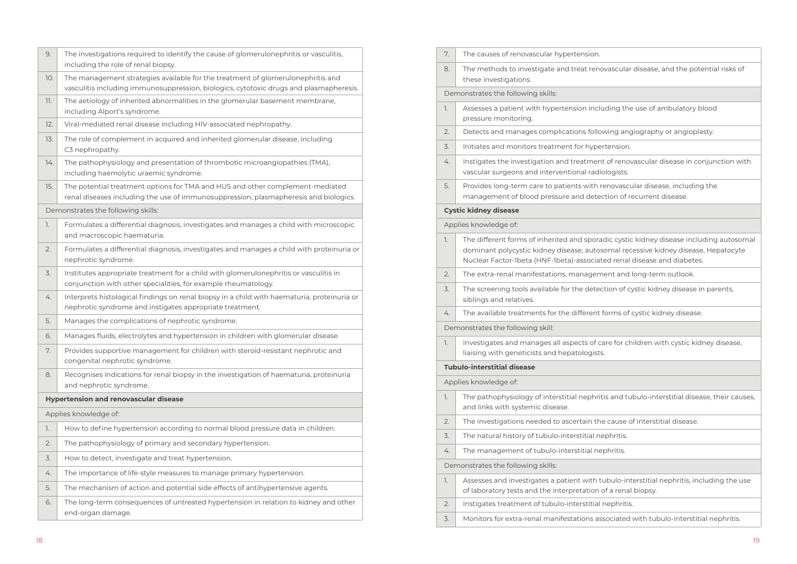| 9.                                           | The investigations required to identify the cause of glomerulonephritis or vasculitis,<br>including the role of renal biopsy.                                             |  |  |  |  |  |  |
|----------------------------------------------|---------------------------------------------------------------------------------------------------------------------------------------------------------------------------|--|--|--|--|--|--|
| 10.                                          | The management strategies available for the treatment of glomerulonephritis and<br>vasculitis including immunosuppression, biologics, cytotoxic drugs and plasmapheresis. |  |  |  |  |  |  |
| 11.                                          | The aetiology of inherited abnormalities in the glomerular basement membrane,<br>including Alport's syndrome.                                                             |  |  |  |  |  |  |
| 12.                                          | Viral-mediated renal disease including HIV-associated nephropathy.                                                                                                        |  |  |  |  |  |  |
| 13.                                          | The role of complement in acquired and inherited glomerular disease, including<br>C3 nephropathy.                                                                         |  |  |  |  |  |  |
| 14.                                          | The pathophysiology and presentation of thrombotic microangiopathies (TMA),<br>including haemolytic uraemic syndrome.                                                     |  |  |  |  |  |  |
| 15.                                          | The potential treatment options for TMA and HUS and other complement-mediated<br>renal diseases including the use of immunosuppression, plasmapheresis and biologics.     |  |  |  |  |  |  |
|                                              | Demonstrates the following skills:                                                                                                                                        |  |  |  |  |  |  |
| 1.                                           | Formulates a differential diagnosis, investigates and manages a child with microscopic<br>and macroscopic haematuria.                                                     |  |  |  |  |  |  |
| 2.                                           | Formulates a differential diagnosis, investigates and manages a child with proteinuria or<br>nephrotic syndrome.                                                          |  |  |  |  |  |  |
| 3.                                           | Institutes appropriate treatment for a child with glomerulonephritis or vasculitis in<br>conjunction with other specialities, for example rheumatology.                   |  |  |  |  |  |  |
| 4.                                           | Interprets histological findings on renal biopsy in a child with haematuria, proteinuria or<br>nephrotic syndrome and instigates appropriate treatment.                   |  |  |  |  |  |  |
| 5.                                           | Manages the complications of nephrotic syndrome.                                                                                                                          |  |  |  |  |  |  |
| 6.                                           | Manages fluids, electrolytes and hypertension in children with glomerular disease.                                                                                        |  |  |  |  |  |  |
| 7.                                           | Provides supportive management for children with steroid-resistant nephrotic and<br>congenital nephrotic syndrome.                                                        |  |  |  |  |  |  |
| 8.                                           | Recognises indications for renal biopsy in the investigation of haematuria, proteinuria<br>and nephrotic syndrome.                                                        |  |  |  |  |  |  |
| <b>Hypertension and renovascular disease</b> |                                                                                                                                                                           |  |  |  |  |  |  |
| Applies knowledge of:                        |                                                                                                                                                                           |  |  |  |  |  |  |
| 1.                                           | How to define hypertension according to normal blood pressure data in children.                                                                                           |  |  |  |  |  |  |
| 2.                                           | The pathophysiology of primary and secondary hypertension.                                                                                                                |  |  |  |  |  |  |
| 3.                                           | How to detect, investigate and treat hypertension.                                                                                                                        |  |  |  |  |  |  |
| 4.                                           | The importance of life-style measures to manage primary hypertension.                                                                                                     |  |  |  |  |  |  |
| 5.                                           | The mechanism of action and potential side effects of antihypertensive agents.                                                                                            |  |  |  |  |  |  |
| 6.                                           | The long-term consequences of untreated hypertension in relation to kidney and other<br>end-organ damage.                                                                 |  |  |  |  |  |  |
|                                              |                                                                                                                                                                           |  |  |  |  |  |  |

| 7.                                 | The causes of renovascular hypertension.                                                                                               |  |  |  |  |  |  |  |
|------------------------------------|----------------------------------------------------------------------------------------------------------------------------------------|--|--|--|--|--|--|--|
| 8.                                 | The methods to investigate and treat reno<br>these investigations.                                                                     |  |  |  |  |  |  |  |
|                                    | Demonstrates the following skills:                                                                                                     |  |  |  |  |  |  |  |
| 1.                                 | Assesses a patient with hypertension inclu<br>pressure monitoring.                                                                     |  |  |  |  |  |  |  |
| 2.                                 | Detects and manages complications follov                                                                                               |  |  |  |  |  |  |  |
| 3.                                 | Initiates and monitors treatment for hyper                                                                                             |  |  |  |  |  |  |  |
| 4.                                 | Instigates the investigation and treatment<br>vascular surgeons and interventional radic                                               |  |  |  |  |  |  |  |
| 5.                                 | Provides long-term care to patients with re<br>management of blood pressure and detec                                                  |  |  |  |  |  |  |  |
|                                    | <b>Cystic kidney disease</b>                                                                                                           |  |  |  |  |  |  |  |
|                                    | Applies knowledge of:                                                                                                                  |  |  |  |  |  |  |  |
| 1.                                 | The different forms of inherited and sporad<br>dominant polycystic kidney disease, autos<br>Nuclear Factor-Ibeta (HNF-Ibeta)-associate |  |  |  |  |  |  |  |
| 2.                                 | The extra-renal manifestations, manageme                                                                                               |  |  |  |  |  |  |  |
| 3.                                 | The screening tools available for the detect<br>siblings and relatives.                                                                |  |  |  |  |  |  |  |
| 4.                                 | The available treatments for the different f                                                                                           |  |  |  |  |  |  |  |
|                                    | Demonstrates the following skill:                                                                                                      |  |  |  |  |  |  |  |
| 1.                                 | Investigates and manages all aspects of ca<br>liaising with geneticists and hepatologists.                                             |  |  |  |  |  |  |  |
|                                    | <b>Tubulo-interstitial disease</b>                                                                                                     |  |  |  |  |  |  |  |
|                                    | Applies knowledge of:                                                                                                                  |  |  |  |  |  |  |  |
| 1.                                 | The pathophysiology of interstitial nephriti<br>and links with systemic disease.                                                       |  |  |  |  |  |  |  |
| 2.                                 | The investigations needed to ascertain the                                                                                             |  |  |  |  |  |  |  |
| 3.                                 | The natural history of tubulo-interstitial ne                                                                                          |  |  |  |  |  |  |  |
| 4.                                 | The management of tubulo-interstitial nep                                                                                              |  |  |  |  |  |  |  |
| Demonstrates the following skills: |                                                                                                                                        |  |  |  |  |  |  |  |
| 1.                                 | Assesses and investigates a patient with tu<br>of laboratory tests and the interpretation c                                            |  |  |  |  |  |  |  |
| 2.                                 | Instigates treatment of tubulo-interstitial r                                                                                          |  |  |  |  |  |  |  |
| 3.                                 | Monitors for extra-renal manifestations ass                                                                                            |  |  |  |  |  |  |  |

ovascular disease, and the potential risks of

uding the use of ambulatory blood

wing angiography or angioplasty.

rtension.

ht of renovascular disease in conjunction with ologists.

renovascular disease, including the ction of recurrent disease.

ndic cystic kidney disease including autosomal somal recessive kidney disease, Hepatocyte ted renal disease and diabetes.

2. The tand long-term outlook.

tion of cystic kidney disease in parents,

forms of cystic kidney disease.

are for children with cystic kidney disease,

tis and tubulo-interstitial disease, their causes,

e cause of interstitial disease.

ephritis.

phritis.

ubulo-interstitial nephritis, including the use of a renal biopsy.

nephritis.

ssociated with tubulo-interstitial nephritis.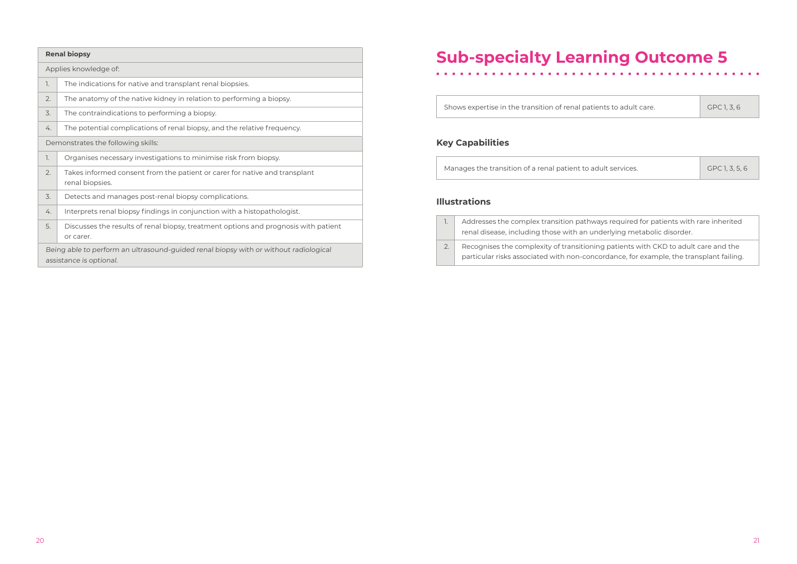| <b>Renal biopsy</b>                                                                                             |                                                                                                  |  |  |  |  |  |
|-----------------------------------------------------------------------------------------------------------------|--------------------------------------------------------------------------------------------------|--|--|--|--|--|
|                                                                                                                 | Applies knowledge of:                                                                            |  |  |  |  |  |
| 1.                                                                                                              | The indications for native and transplant renal biopsies.                                        |  |  |  |  |  |
| 2.                                                                                                              | The anatomy of the native kidney in relation to performing a biopsy.                             |  |  |  |  |  |
| 3.                                                                                                              | The contraindications to performing a biopsy.                                                    |  |  |  |  |  |
| 4.                                                                                                              | The potential complications of renal biopsy, and the relative frequency.                         |  |  |  |  |  |
| Demonstrates the following skills:                                                                              |                                                                                                  |  |  |  |  |  |
| 1.                                                                                                              | Organises necessary investigations to minimise risk from biopsy.                                 |  |  |  |  |  |
| 2.                                                                                                              | Takes informed consent from the patient or carer for native and transplant<br>renal biopsies.    |  |  |  |  |  |
| 3.                                                                                                              | Detects and manages post-renal biopsy complications.                                             |  |  |  |  |  |
| 4.                                                                                                              | Interprets renal biopsy findings in conjunction with a histopathologist.                         |  |  |  |  |  |
| 5.                                                                                                              | Discusses the results of renal biopsy, treatment options and prognosis with patient<br>or carer. |  |  |  |  |  |
| Being able to perform an ultrasound-guided renal biopsy with or without radiological<br>assistance is optional. |                                                                                                  |  |  |  |  |  |

Shows expertise in the transition of renal patier

#### **Key Capabilities**

Manages the transition of a renal patient to adu

#### **Illustrations**

| 1.           | Addresses the complex transition pathway<br>renal disease, including those with an und |
|--------------|----------------------------------------------------------------------------------------|
| $\sqrt{2}$ . | Recognises the complexity of transitioning                                             |
|              | particular risks associated with non-conco                                             |

| nts to adult care. | GPC 1, 3, 6 |
|--------------------|-------------|

| ult services. | GPC 1, 3, 5, 6 |
|---------------|----------------|

ys required for patients with rare inherited renal disease disease.<br>Includes with an underlying with an underlying metabolic disorder.

2. a. Recognises the completioning patients with CKD to adult care and the ordance, for example, the transplant failing.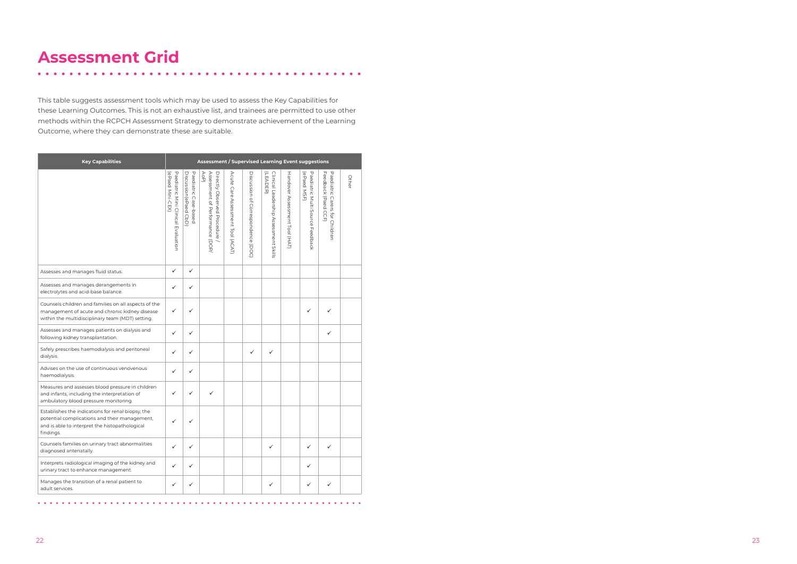22 23

### **Assessment Grid**

. . . . . . . . . . . . . .

This table suggests assessment tools which may be used to assess the Key Capabilities for these Learning Outcomes. This is not an exhaustive list, and trainees are permitted to use other methods within the RCPCH Assessment Strategy to demonstrate achievement of the Learning Outcome, where they can demonstrate these are suitable.

 $\begin{array}{cccccccccccccc} \bullet & \bullet & \bullet & \bullet & \bullet & \bullet & \bullet \end{array}$ 

| <b>Key Capabilities</b>                                                                                                                                           | <b>Assessment / Supervised Learning Event suggestions</b> |                                                |                                                                        |                                          |                                    |                                                   |                                |                                                 |                                                       |       |
|-------------------------------------------------------------------------------------------------------------------------------------------------------------------|-----------------------------------------------------------|------------------------------------------------|------------------------------------------------------------------------|------------------------------------------|------------------------------------|---------------------------------------------------|--------------------------------|-------------------------------------------------|-------------------------------------------------------|-------|
|                                                                                                                                                                   | Paediatric Mini Clinical Evaluation<br>(ePaed Mini-CEX)   | Discussion (ePaed CbD<br>Paediatric Case-based | Assessment of Performance (DOP)<br>Directly Observed Procedure<br>AoP) | Acute<br>care.<br>Assessment Tool (ACAT) | Discussion of Correspondence (DOC) | Clinical Leadership Assessment Skills<br>(LEADER) | Handover Assessment Tool (HAT) | (ePaed MSF)<br>Paediatric Multi Source Feedback | Feedback (Paed CCF)<br>Paediatric Carers for Children | Other |
| Assesses and manages fluid status.                                                                                                                                | ✓                                                         | ✓                                              |                                                                        |                                          |                                    |                                                   |                                |                                                 |                                                       |       |
| Assesses and manages derangements in<br>electrolytes and acid-base balance.                                                                                       | ✓                                                         | ✓                                              |                                                                        |                                          |                                    |                                                   |                                |                                                 |                                                       |       |
| Counsels children and families on all aspects of the<br>management of acute and chronic kidney disease<br>within the multidisciplinary team (MDT) setting.        | ✓                                                         | ✓                                              |                                                                        |                                          |                                    |                                                   |                                | ✓                                               |                                                       |       |
| Assesses and manages patients on dialysis and<br>following kidney transplantation.                                                                                | ✓                                                         | ✓                                              |                                                                        |                                          |                                    |                                                   |                                |                                                 | ✓                                                     |       |
| Safely prescribes haemodialysis and peritoneal<br>dialysis.                                                                                                       | ✓                                                         | ✓                                              |                                                                        |                                          | ✓                                  | ✓                                                 |                                |                                                 |                                                       |       |
| Advises on the use of continuous venovenous<br>haemodialysis.                                                                                                     | ✓                                                         | ✓                                              |                                                                        |                                          |                                    |                                                   |                                |                                                 |                                                       |       |
| Measures and assesses blood pressure in children<br>and infants, including the interpretation of<br>ambulatory blood pressure monitoring.                         | ✓                                                         | ✓                                              | ✓                                                                      |                                          |                                    |                                                   |                                |                                                 |                                                       |       |
| Establishes the indications for renal biopsy, the<br>potential complications and their management,<br>and is able to interpret the histopathological<br>findings. |                                                           | ✓                                              |                                                                        |                                          |                                    |                                                   |                                |                                                 |                                                       |       |
| Counsels families on urinary tract abnormalities<br>diagnosed antenatally.                                                                                        | ✓                                                         | ✓                                              |                                                                        |                                          |                                    | ✓                                                 |                                | ✓                                               | ✓                                                     |       |
| Interprets radiological imaging of the kidney and<br>urinary tract to enhance management.                                                                         | ✓                                                         | ✓                                              |                                                                        |                                          |                                    |                                                   |                                | ✓                                               |                                                       |       |
| Manages the transition of a renal patient to<br>adult services.                                                                                                   | ✓                                                         | ✓                                              |                                                                        |                                          |                                    | ✓                                                 |                                | ✓                                               | ✓                                                     |       |